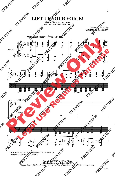## **LIFT UP YOUR VOICE!**

for S.A.T.B. voices and piano with optional SoundTrax CD\*

> *Words and Music by* **VICTOR C. JOHNSON**



\* Also available for S.A.B. (43399) and S.S.A. (43400). SoundTrax CD available (43401).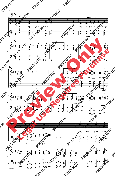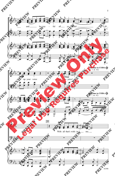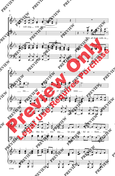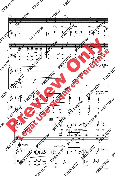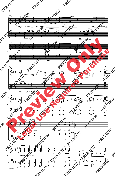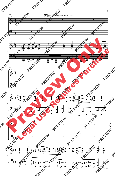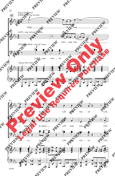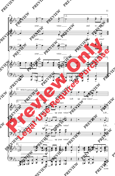